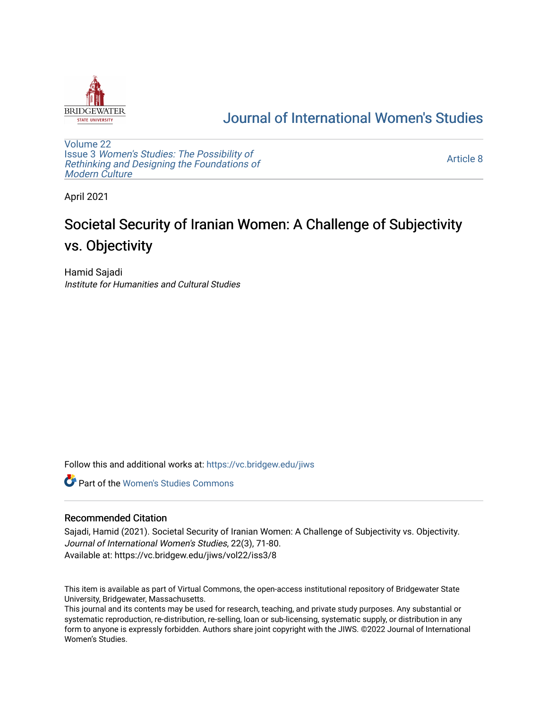

## [Journal of International Women's Studies](https://vc.bridgew.edu/jiws)

[Volume 22](https://vc.bridgew.edu/jiws/vol22) Issue 3 [Women's Studies: The Possibility of](https://vc.bridgew.edu/jiws/vol22/iss3)  [Rethinking and Designing the Foundations of](https://vc.bridgew.edu/jiws/vol22/iss3) [Modern Culture](https://vc.bridgew.edu/jiws/vol22/iss3)

[Article 8](https://vc.bridgew.edu/jiws/vol22/iss3/8) 

April 2021

# Societal Security of Iranian Women: A Challenge of Subjectivity vs. Objectivity

Hamid Sajadi Institute for Humanities and Cultural Studies

Follow this and additional works at: [https://vc.bridgew.edu/jiws](https://vc.bridgew.edu/jiws?utm_source=vc.bridgew.edu%2Fjiws%2Fvol22%2Fiss3%2F8&utm_medium=PDF&utm_campaign=PDFCoverPages)

**C** Part of the Women's Studies Commons

#### Recommended Citation

Sajadi, Hamid (2021). Societal Security of Iranian Women: A Challenge of Subjectivity vs. Objectivity. Journal of International Women's Studies, 22(3), 71-80. Available at: https://vc.bridgew.edu/jiws/vol22/iss3/8

This item is available as part of Virtual Commons, the open-access institutional repository of Bridgewater State University, Bridgewater, Massachusetts.

This journal and its contents may be used for research, teaching, and private study purposes. Any substantial or systematic reproduction, re-distribution, re-selling, loan or sub-licensing, systematic supply, or distribution in any form to anyone is expressly forbidden. Authors share joint copyright with the JIWS. ©2022 Journal of International Women's Studies.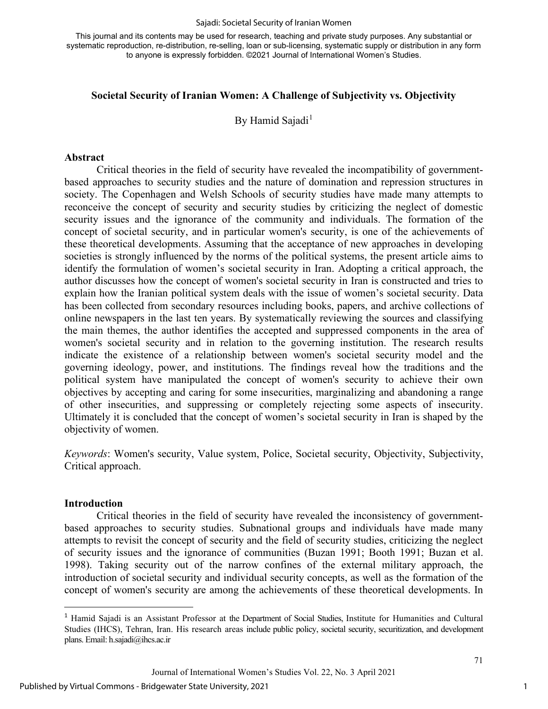#### Sajadi: Societal Security of Iranian Women

This journal and its contents may be used for research, teaching and private study purposes. Any substantial or systematic reproduction, re-distribution, re-selling, loan or sub-licensing, systematic supply or distribution in any form to anyone is expressly forbidden. ©2021 Journal of International Women's Studies.

#### **Societal Security of Iranian Women: A Challenge of Subjectivity vs. Objectivity**

By Hamid Sajadi<sup>[1](#page-1-0)</sup>

#### **Abstract**

Critical theories in the field of security have revealed the incompatibility of governmentbased approaches to security studies and the nature of domination and repression structures in society. The Copenhagen and Welsh Schools of security studies have made many attempts to reconceive the concept of security and security studies by criticizing the neglect of domestic security issues and the ignorance of the community and individuals. The formation of the concept of societal security, and in particular women's security, is one of the achievements of these theoretical developments. Assuming that the acceptance of new approaches in developing societies is strongly influenced by the norms of the political systems, the present article aims to identify the formulation of women's societal security in Iran. Adopting a critical approach, the author discusses how the concept of women's societal security in Iran is constructed and tries to explain how the Iranian political system deals with the issue of women's societal security. Data has been collected from secondary resources including books, papers, and archive collections of online newspapers in the last ten years. By systematically reviewing the sources and classifying the main themes, the author identifies the accepted and suppressed components in the area of women's societal security and in relation to the governing institution. The research results indicate the existence of a relationship between women's societal security model and the governing ideology, power, and institutions. The findings reveal how the traditions and the political system have manipulated the concept of women's security to achieve their own objectives by accepting and caring for some insecurities, marginalizing and abandoning a range of other insecurities, and suppressing or completely rejecting some aspects of insecurity. Ultimately it is concluded that the concept of women's societal security in Iran is shaped by the objectivity of women.

*Keywords*: Women's security, Value system, Police, Societal security, Objectivity, Subjectivity, Critical approach.

#### **Introduction**

Critical theories in the field of security have revealed the inconsistency of governmentbased approaches to security studies. Subnational groups and individuals have made many attempts to revisit the concept of security and the field of security studies, criticizing the neglect of security issues and the ignorance of communities (Buzan 1991; Booth 1991; Buzan et al. 1998). Taking security out of the narrow confines of the external military approach, the introduction of societal security and individual security concepts, as well as the formation of the concept of women's security are among the achievements of these theoretical developments. In

Journal of International Women's Studies Vol. 22, No. 3 April 2021

1

<span id="page-1-0"></span><sup>1</sup> Hamid Sajadi is an Assistant Professor at the Department of Social Studies, Institute for Humanities and Cultural Studies (IHCS), Tehran, Iran. His research areas include public policy, societal security, securitization, and development plans. Email[: h.sajadi@ihcs.ac.ir](mailto:h.sajadi@ihcs.ac.ir)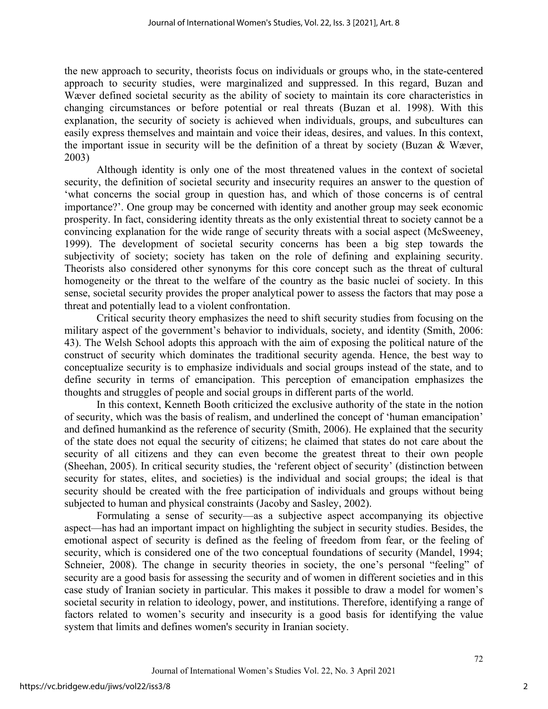the new approach to security, theorists focus on individuals or groups who, in the state-centered approach to security studies, were marginalized and suppressed. In this regard, Buzan and Wæver defined societal security as the ability of society to maintain its core characteristics in changing circumstances or before potential or real threats (Buzan et al. 1998). With this explanation, the security of society is achieved when individuals, groups, and subcultures can easily express themselves and maintain and voice their ideas, desires, and values. In this context, the important issue in security will be the definition of a threat by society (Buzan & Wæver, 2003)

Although identity is only one of the most threatened values in the context of societal security, the definition of societal security and insecurity requires an answer to the question of 'what concerns the social group in question has, and which of those concerns is of central importance?'. One group may be concerned with identity and another group may seek economic prosperity. In fact, considering identity threats as the only existential threat to society cannot be a convincing explanation for the wide range of security threats with a social aspect (McSweeney, 1999). The development of societal security concerns has been a big step towards the subjectivity of society; society has taken on the role of defining and explaining security. Theorists also considered other synonyms for this core concept such as the threat of cultural homogeneity or the threat to the welfare of the country as the basic nuclei of society. In this sense, societal security provides the proper analytical power to assess the factors that may pose a threat and potentially lead to a violent confrontation.

Critical security theory emphasizes the need to shift security studies from focusing on the military aspect of the government's behavior to individuals, society, and identity (Smith, 2006: 43). The Welsh School adopts this approach with the aim of exposing the political nature of the construct of security which dominates the traditional security agenda. Hence, the best way to conceptualize security is to emphasize individuals and social groups instead of the state, and to define security in terms of emancipation. This perception of emancipation emphasizes the thoughts and struggles of people and social groups in different parts of the world.

In this context, Kenneth Booth criticized the exclusive authority of the state in the notion of security, which was the basis of realism, and underlined the concept of 'human emancipation' and defined humankind as the reference of security (Smith, 2006). He explained that the security of the state does not equal the security of citizens; he claimed that states do not care about the security of all citizens and they can even become the greatest threat to their own people (Sheehan, 2005). In critical security studies, the 'referent object of security' (distinction between security for states, elites, and societies) is the individual and social groups; the ideal is that security should be created with the free participation of individuals and groups without being subjected to human and physical constraints (Jacoby and Sasley, 2002).

Formulating a sense of security—as a subjective aspect accompanying its objective aspect—has had an important impact on highlighting the subject in security studies. Besides, the emotional aspect of security is defined as the feeling of freedom from fear, or the feeling of security, which is considered one of the two conceptual foundations of security (Mandel, 1994; Schneier, 2008). The change in security theories in society, the one's personal "feeling" of security are a good basis for assessing the security and of women in different societies and in this case study of Iranian society in particular. This makes it possible to draw a model for women's societal security in relation to ideology, power, and institutions. Therefore, identifying a range of factors related to women's security and insecurity is a good basis for identifying the value system that limits and defines women's security in Iranian society.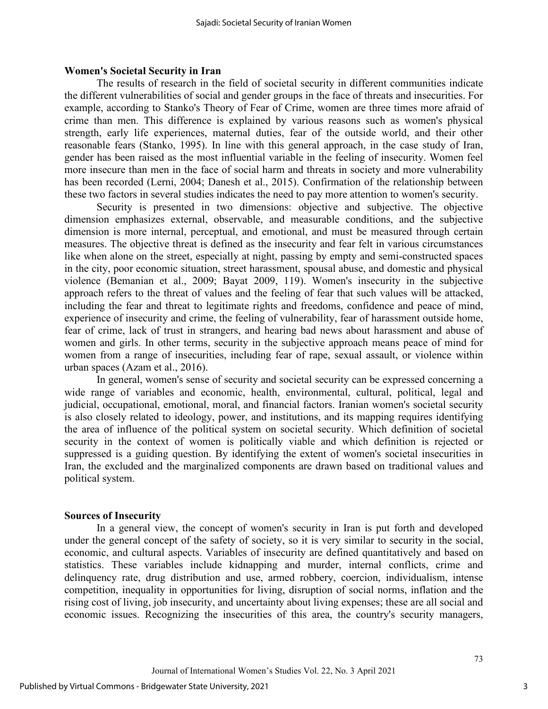#### **Women's Societal Security in Iran**

The results of research in the field of societal security in different communities indicate the different vulnerabilities of social and gender groups in the face of threats and insecurities. For example, according to Stanko's Theory of Fear of Crime, women are three times more afraid of crime than men. This difference is explained by various reasons such as women's physical strength, early life experiences, maternal duties, fear of the outside world, and their other reasonable fears (Stanko, 1995). In line with this general approach, in the case study of Iran, gender has been raised as the most influential variable in the feeling of insecurity. Women feel more insecure than men in the face of social harm and threats in society and more vulnerability has been recorded (Lerni, 2004; Danesh et al., 2015). Confirmation of the relationship between these two factors in several studies indicates the need to pay more attention to women's security.

Security is presented in two dimensions: objective and subjective. The objective dimension emphasizes external, observable, and measurable conditions, and the subjective dimension is more internal, perceptual, and emotional, and must be measured through certain measures. The objective threat is defined as the insecurity and fear felt in various circumstances like when alone on the street, especially at night, passing by empty and semi-constructed spaces in the city, poor economic situation, street harassment, spousal abuse, and domestic and physical violence (Bemanian et al., 2009; Bayat 2009, 119). Women's insecurity in the subjective approach refers to the threat of values and the feeling of fear that such values will be attacked, including the fear and threat to legitimate rights and freedoms, confidence and peace of mind, experience of insecurity and crime, the feeling of vulnerability, fear of harassment outside home, fear of crime, lack of trust in strangers, and hearing bad news about harassment and abuse of women and girls. In other terms, security in the subjective approach means peace of mind for women from a range of insecurities, including fear of rape, sexual assault, or violence within urban spaces (Azam et al., 2016).

In general, women's sense of security and societal security can be expressed concerning a wide range of variables and economic, health, environmental, cultural, political, legal and judicial, occupational, emotional, moral, and financial factors. Iranian women's societal security is also closely related to ideology, power, and institutions, and its mapping requires identifying the area of influence of the political system on societal security. Which definition of societal security in the context of women is politically viable and which definition is rejected or suppressed is a guiding question. By identifying the extent of women's societal insecurities in Iran, the excluded and the marginalized components are drawn based on traditional values and political system.

#### **Sources of Insecurity**

In a general view, the concept of women's security in Iran is put forth and developed under the general concept of the safety of society, so it is very similar to security in the social, economic, and cultural aspects. Variables of insecurity are defined quantitatively and based on statistics. These variables include kidnapping and murder, internal conflicts, crime and delinquency rate, drug distribution and use, armed robbery, coercion, individualism, intense competition, inequality in opportunities for living, disruption of social norms, inflation and the rising cost of living, job insecurity, and uncertainty about living expenses; these are all social and economic issues. Recognizing the insecurities of this area, the country's security managers,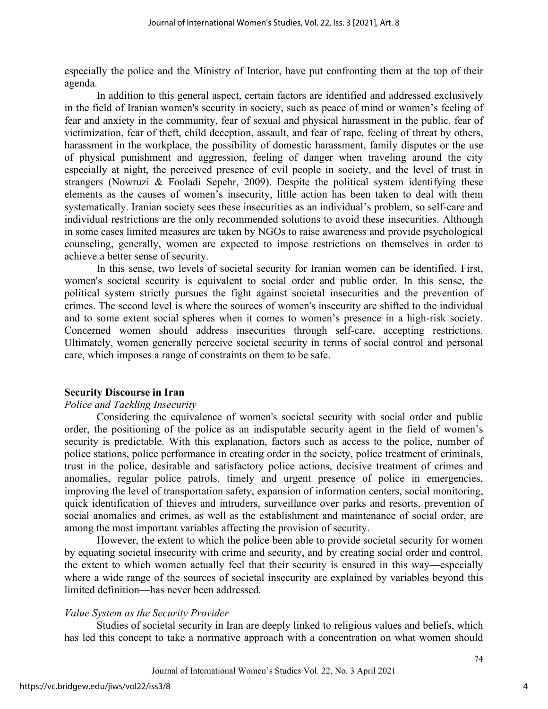especially the police and the Ministry of Interior, have put confronting them at the top of their agenda.

In addition to this general aspect, certain factors are identified and addressed exclusively in the field of Iranian women's security in society, such as peace of mind or women's feeling of fear and anxiety in the community, fear of sexual and physical harassment in the public, fear of victimization, fear of theft, child deception, assault, and fear of rape, feeling of threat by others, harassment in the workplace, the possibility of domestic harassment, family disputes or the use of physical punishment and aggression, feeling of danger when traveling around the city especially at night, the perceived presence of evil people in society, and the level of trust in strangers (Nowruzi & Fooladi Sepehr, 2009). Despite the political system identifying these elements as the causes of women's insecurity, little action has been taken to deal with them systematically. Iranian society sees these insecurities as an individual's problem, so self-care and individual restrictions are the only recommended solutions to avoid these insecurities. Although in some cases limited measures are taken by NGOs to raise awareness and provide psychological counseling, generally, women are expected to impose restrictions on themselves in order to achieve a better sense of security.

In this sense, two levels of societal security for Iranian women can be identified. First, women's societal security is equivalent to social order and public order. In this sense, the political system strictly pursues the fight against societal insecurities and the prevention of crimes. The second level is where the sources of women's insecurity are shifted to the individual and to some extent social spheres when it comes to women's presence in a high-risk society. Concerned women should address insecurities through self-care, accepting restrictions. Ultimately, women generally perceive societal security in terms of social control and personal care, which imposes a range of constraints on them to be safe.

#### **Security Discourse in Iran**

#### *Police and Tackling Insecurity*

Considering the equivalence of women's societal security with social order and public order, the positioning of the police as an indisputable security agent in the field of women's security is predictable. With this explanation, factors such as access to the police, number of police stations, police performance in creating order in the society, police treatment of criminals, trust in the police, desirable and satisfactory police actions, decisive treatment of crimes and anomalies, regular police patrols, timely and urgent presence of police in emergencies, improving the level of transportation safety, expansion of information centers, social monitoring, quick identification of thieves and intruders, surveillance over parks and resorts, prevention of social anomalies and crimes, as well as the establishment and maintenance of social order, are among the most important variables affecting the provision of security.

However, the extent to which the police been able to provide societal security for women by equating societal insecurity with crime and security, and by creating social order and control, the extent to which women actually feel that their security is ensured in this way—especially where a wide range of the sources of societal insecurity are explained by variables beyond this limited definition—has never been addressed.

#### *Value System as the Security Provider*

Studies of societal security in Iran are deeply linked to religious values and beliefs, which has led this concept to take a normative approach with a concentration on what women should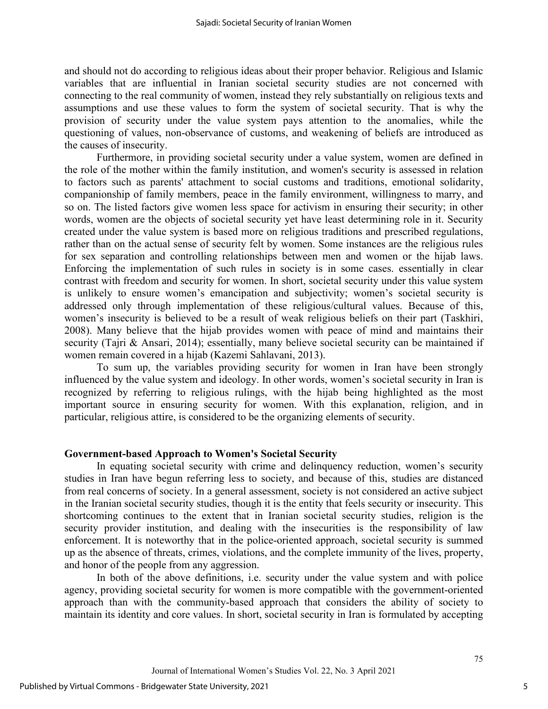and should not do according to religious ideas about their proper behavior. Religious and Islamic variables that are influential in Iranian societal security studies are not concerned with connecting to the real community of women, instead they rely substantially on religious texts and assumptions and use these values to form the system of societal security. That is why the provision of security under the value system pays attention to the anomalies, while the questioning of values, non-observance of customs, and weakening of beliefs are introduced as the causes of insecurity.

Furthermore, in providing societal security under a value system, women are defined in the role of the mother within the family institution, and women's security is assessed in relation to factors such as parents' attachment to social customs and traditions, emotional solidarity, companionship of family members, peace in the family environment, willingness to marry, and so on. The listed factors give women less space for activism in ensuring their security; in other words, women are the objects of societal security yet have least determining role in it. Security created under the value system is based more on religious traditions and prescribed regulations, rather than on the actual sense of security felt by women. Some instances are the religious rules for sex separation and controlling relationships between men and women or the hijab laws. Enforcing the implementation of such rules in society is in some cases. essentially in clear contrast with freedom and security for women. In short, societal security under this value system is unlikely to ensure women's emancipation and subjectivity; women's societal security is addressed only through implementation of these religious/cultural values. Because of this, women's insecurity is believed to be a result of weak religious beliefs on their part (Taskhiri, 2008). Many believe that the hijab provides women with peace of mind and maintains their security (Tajri & Ansari, 2014); essentially, many believe societal security can be maintained if women remain covered in a hijab (Kazemi Sahlavani, 2013).

To sum up, the variables providing security for women in Iran have been strongly influenced by the value system and ideology. In other words, women's societal security in Iran is recognized by referring to religious rulings, with the hijab being highlighted as the most important source in ensuring security for women. With this explanation, religion, and in particular, religious attire, is considered to be the organizing elements of security.

#### **Government-based Approach to Women's Societal Security**

In equating societal security with crime and delinquency reduction, women's security studies in Iran have begun referring less to society, and because of this, studies are distanced from real concerns of society. In a general assessment, society is not considered an active subject in the Iranian societal security studies, though it is the entity that feels security or insecurity. This shortcoming continues to the extent that in Iranian societal security studies, religion is the security provider institution, and dealing with the insecurities is the responsibility of law enforcement. It is noteworthy that in the police-oriented approach, societal security is summed up as the absence of threats, crimes, violations, and the complete immunity of the lives, property, and honor of the people from any aggression.

In both of the above definitions, i.e. security under the value system and with police agency, providing societal security for women is more compatible with the government-oriented approach than with the community-based approach that considers the ability of society to maintain its identity and core values. In short, societal security in Iran is formulated by accepting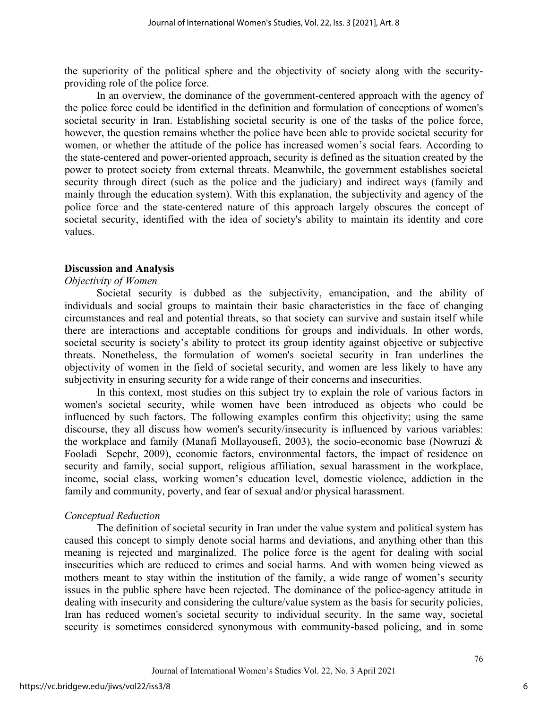the superiority of the political sphere and the objectivity of society along with the securityproviding role of the police force.

In an overview, the dominance of the government-centered approach with the agency of the police force could be identified in the definition and formulation of conceptions of women's societal security in Iran. Establishing societal security is one of the tasks of the police force, however, the question remains whether the police have been able to provide societal security for women, or whether the attitude of the police has increased women's social fears. According to the state-centered and power-oriented approach, security is defined as the situation created by the power to protect society from external threats. Meanwhile, the government establishes societal security through direct (such as the police and the judiciary) and indirect ways (family and mainly through the education system). With this explanation, the subjectivity and agency of the police force and the state-centered nature of this approach largely obscures the concept of societal security, identified with the idea of society's ability to maintain its identity and core values.

#### **Discussion and Analysis**

#### *Objectivity of Women*

Societal security is dubbed as the subjectivity, emancipation, and the ability of individuals and social groups to maintain their basic characteristics in the face of changing circumstances and real and potential threats, so that society can survive and sustain itself while there are interactions and acceptable conditions for groups and individuals. In other words, societal security is society's ability to protect its group identity against objective or subjective threats. Nonetheless, the formulation of women's societal security in Iran underlines the objectivity of women in the field of societal security, and women are less likely to have any subjectivity in ensuring security for a wide range of their concerns and insecurities.

In this context, most studies on this subject try to explain the role of various factors in women's societal security, while women have been introduced as objects who could be influenced by such factors. The following examples confirm this objectivity; using the same discourse, they all discuss how women's security/insecurity is influenced by various variables: the workplace and family (Manafi Mollayousefi, 2003), the socio-economic base (Nowruzi & Fooladi Sepehr, 2009), economic factors, environmental factors, the impact of residence on security and family, social support, religious affiliation, sexual harassment in the workplace, income, social class, working women's education level, domestic violence, addiction in the family and community, poverty, and fear of sexual and/or physical harassment.

#### *Conceptual Reduction*

The definition of societal security in Iran under the value system and political system has caused this concept to simply denote social harms and deviations, and anything other than this meaning is rejected and marginalized. The police force is the agent for dealing with social insecurities which are reduced to crimes and social harms. And with women being viewed as mothers meant to stay within the institution of the family, a wide range of women's security issues in the public sphere have been rejected. The dominance of the police-agency attitude in dealing with insecurity and considering the culture/value system as the basis for security policies, Iran has reduced women's societal security to individual security. In the same way, societal security is sometimes considered synonymous with community-based policing, and in some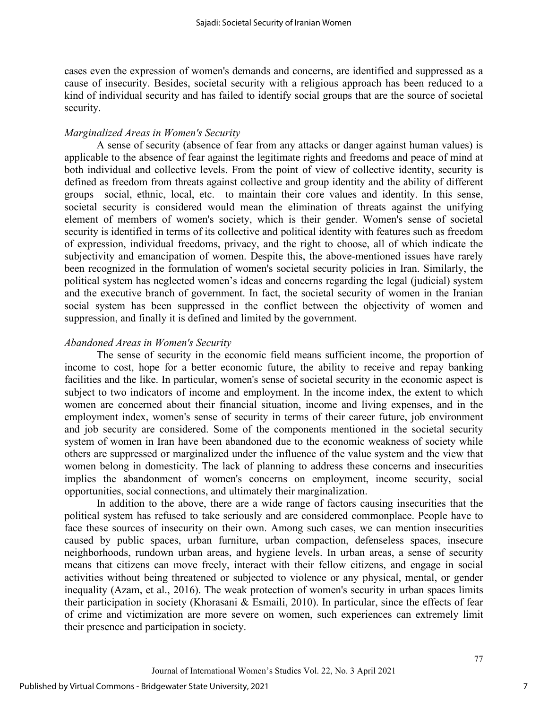cases even the expression of women's demands and concerns, are identified and suppressed as a cause of insecurity. Besides, societal security with a religious approach has been reduced to a kind of individual security and has failed to identify social groups that are the source of societal security.

### *Marginalized Areas in Women's Security*

A sense of security (absence of fear from any attacks or danger against human values) is applicable to the absence of fear against the legitimate rights and freedoms and peace of mind at both individual and collective levels. From the point of view of collective identity, security is defined as freedom from threats against collective and group identity and the ability of different groups—social, ethnic, local, etc.—to maintain their core values and identity. In this sense, societal security is considered would mean the elimination of threats against the unifying element of members of women's society, which is their gender. Women's sense of societal security is identified in terms of its collective and political identity with features such as freedom of expression, individual freedoms, privacy, and the right to choose, all of which indicate the subjectivity and emancipation of women. Despite this, the above-mentioned issues have rarely been recognized in the formulation of women's societal security policies in Iran. Similarly, the political system has neglected women's ideas and concerns regarding the legal (judicial) system and the executive branch of government. In fact, the societal security of women in the Iranian social system has been suppressed in the conflict between the objectivity of women and suppression, and finally it is defined and limited by the government.

#### *Abandoned Areas in Women's Security*

The sense of security in the economic field means sufficient income, the proportion of income to cost, hope for a better economic future, the ability to receive and repay banking facilities and the like. In particular, women's sense of societal security in the economic aspect is subject to two indicators of income and employment. In the income index, the extent to which women are concerned about their financial situation, income and living expenses, and in the employment index, women's sense of security in terms of their career future, job environment and job security are considered. Some of the components mentioned in the societal security system of women in Iran have been abandoned due to the economic weakness of society while others are suppressed or marginalized under the influence of the value system and the view that women belong in domesticity. The lack of planning to address these concerns and insecurities implies the abandonment of women's concerns on employment, income security, social opportunities, social connections, and ultimately their marginalization.

In addition to the above, there are a wide range of factors causing insecurities that the political system has refused to take seriously and are considered commonplace. People have to face these sources of insecurity on their own. Among such cases, we can mention insecurities caused by public spaces, urban furniture, urban compaction, defenseless spaces, insecure neighborhoods, rundown urban areas, and hygiene levels. In urban areas, a sense of security means that citizens can move freely, interact with their fellow citizens, and engage in social activities without being threatened or subjected to violence or any physical, mental, or gender inequality (Azam, et al., 2016). The weak protection of women's security in urban spaces limits their participation in society (Khorasani & Esmaili, 2010). In particular, since the effects of fear of crime and victimization are more severe on women, such experiences can extremely limit their presence and participation in society.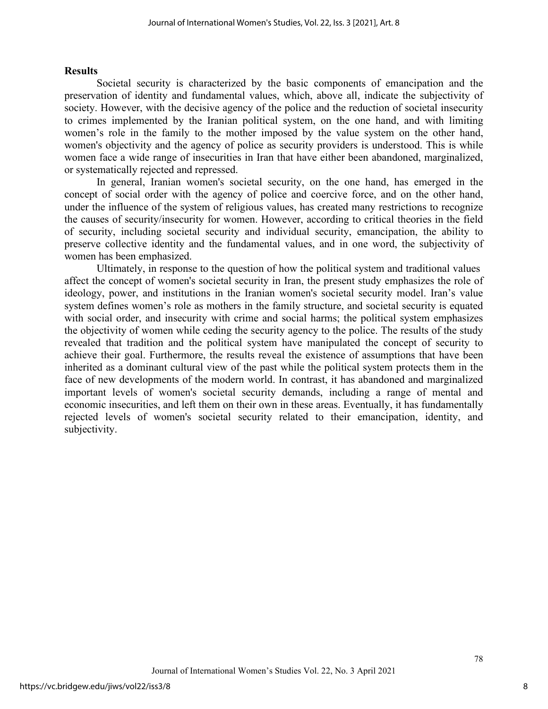#### **Results**

Societal security is characterized by the basic components of emancipation and the preservation of identity and fundamental values, which, above all, indicate the subjectivity of society. However, with the decisive agency of the police and the reduction of societal insecurity to crimes implemented by the Iranian political system, on the one hand, and with limiting women's role in the family to the mother imposed by the value system on the other hand, women's objectivity and the agency of police as security providers is understood. This is while women face a wide range of insecurities in Iran that have either been abandoned, marginalized, or systematically rejected and repressed.

In general, Iranian women's societal security, on the one hand, has emerged in the concept of social order with the agency of police and coercive force, and on the other hand, under the influence of the system of religious values, has created many restrictions to recognize the causes of security/insecurity for women. However, according to critical theories in the field of security, including societal security and individual security, emancipation, the ability to preserve collective identity and the fundamental values, and in one word, the subjectivity of women has been emphasized.

Ultimately, in response to the question of how the political system and traditional values affect the concept of women's societal security in Iran, the present study emphasizes the role of ideology, power, and institutions in the Iranian women's societal security model. Iran's value system defines women's role as mothers in the family structure, and societal security is equated with social order, and insecurity with crime and social harms; the political system emphasizes the objectivity of women while ceding the security agency to the police. The results of the study revealed that tradition and the political system have manipulated the concept of security to achieve their goal. Furthermore, the results reveal the existence of assumptions that have been inherited as a dominant cultural view of the past while the political system protects them in the face of new developments of the modern world. In contrast, it has abandoned and marginalized important levels of women's societal security demands, including a range of mental and economic insecurities, and left them on their own in these areas. Eventually, it has fundamentally rejected levels of women's societal security related to their emancipation, identity, and subjectivity.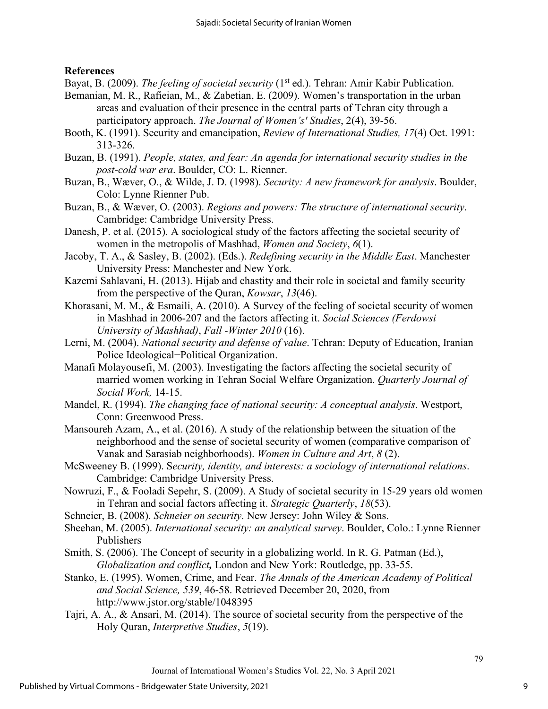### **References**

Bayat, B. (2009). *The feeling of societal security* (1<sup>st</sup> ed.). Tehran: Amir Kabir Publication.

- Bemanian, M. R., Rafieian, M., & Zabetian, E. (2009). Women's transportation in the urban areas and evaluation of their presence in the central parts of Tehran city through a participatory approach. *The Journal of Women's' Studies*, 2(4), 39-56.
- Booth, K. (1991). Security and emancipation, *Review of International Studies, 17*(4) Oct. 1991: 313-326.
- Buzan, B. (1991). *People, states, and fear: An agenda for international security studies in the post-cold war era*. Boulder, CO: L. Rienner.
- Buzan, B., Wæver, O., & Wilde, J. D. (1998). *Security: A new framework for analysis*. Boulder, Colo: Lynne Rienner Pub.
- Buzan, B., & Wæver, O. (2003). *Regions and powers: The structure of international security*. Cambridge: Cambridge University Press.
- Danesh, P. et al. (2015). A sociological study of the factors affecting the societal security of women in the metropolis of Mashhad, *Women and Society*, *6*(1).
- Jacoby, T. A., & Sasley, B. (2002). (Eds.). *Redefining security in the Middle East*. Manchester University Press: Manchester and New York.
- Kazemi Sahlavani, H. (2013). Hijab and chastity and their role in societal and family security from the perspective of the Quran, *Kowsar*, *13*(46).
- Khorasani, M. M., & Esmaili, A. (2010). A Survey of the feeling of societal security of women in Mashhad in 2006-207 and the factors affecting it. *Social Sciences (Ferdowsi University of Mashhad)*, *Fall -Winter 2010* (16).
- Lerni, M. (2004). *National security and defense of value*. Tehran: Deputy of Education, Iranian Police Ideological−Political Organization.
- Manafi Molayousefi, M. (2003). Investigating the factors affecting the societal security of married women working in Tehran Social Welfare Organization. *Quarterly Journal of Social Work,* 14-15.
- Mandel, R. (1994). *The changing face of national security: A conceptual analysis*. Westport, Conn: Greenwood Press.
- Mansoureh Azam, A., et al. (2016). A study of the relationship between the situation of the neighborhood and the sense of societal security of women (comparative comparison of Vanak and Sarasiab neighborhoods). *Women in Culture and Art*, *8* (2).
- McSweeney B. (1999). S*ecurity, identity, and interests: a sociology of international relations*. Cambridge: Cambridge University Press.
- Nowruzi, F., & Fooladi Sepehr, S. (2009). A Study of societal security in 15-29 years old women in Tehran and social factors affecting it. *Strategic Quarterly*, *18*(53).
- Schneier, B. (2008). *Schneier on security*. New Jersey: John Wiley & Sons.
- Sheehan, M. (2005). *International security: an analytical survey*. Boulder, Colo.: Lynne Rienner Publishers
- Smith, S. (2006). The Concept of security in a globalizing world. In R. G. Patman (Ed.), *Globalization and conflict,* London and New York: Routledge, pp. 33-55.
- Stanko, E. (1995). Women, Crime, and Fear. *The Annals of the American Academy of Political and Social Science, 539*, 46-58. Retrieved December 20, 2020, from http://www.jstor.org/stable/1048395
- Tajri, A. A., & Ansari, M. (2014). The source of societal security from the perspective of the Holy Quran, *Interpretive Studies*, *5*(19).